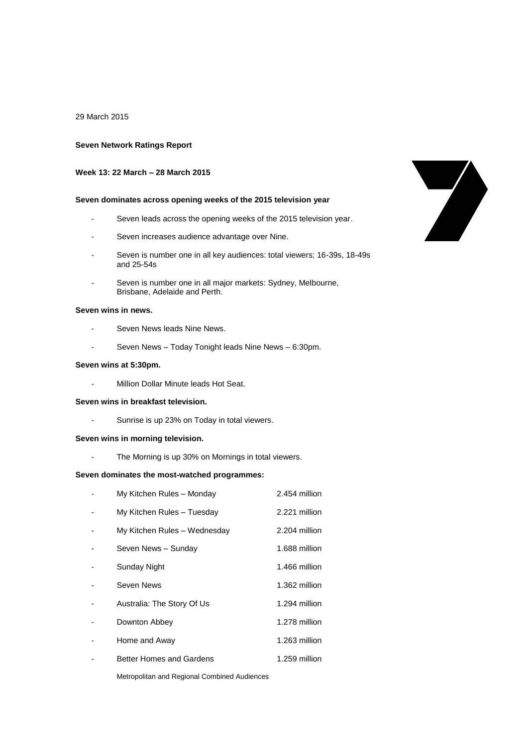#### 29 March 2015

### **Seven Network Ratings Report**

# **Week 13: 22 March – 28 March 2015**

## **Seven dominates across opening weeks of the 2015 television year**

- Seven leads across the opening weeks of the 2015 television year.
- Seven increases audience advantage over Nine.
- Seven is number one in all key audiences: total viewers; 16-39s, 18-49s and 25-54s
- Seven is number one in all major markets: Sydney, Melbourne, Brisbane, Adelaide and Perth.

### **Seven wins in news.**

- Seven News leads Nine News.
- Seven News Today Tonight leads Nine News 6:30pm.

### **Seven wins at 5:30pm.**

- Million Dollar Minute leads Hot Seat.

# **Seven wins in breakfast television.**

- Sunrise is up 23% on Today in total viewers.

### **Seven wins in morning television.**

- The Morning is up 30% on Mornings in total viewers.

#### **Seven dominates the most-watched programmes:**

| My Kitchen Rules - Monday    | 2.454 million |
|------------------------------|---------------|
| My Kitchen Rules - Tuesday   | 2.221 million |
| My Kitchen Rules - Wednesday | 2.204 million |
| Seven News - Sunday          | 1.688 million |
| Sunday Night                 | 1.466 million |
| Seven News                   | 1.362 million |
| Australia: The Story Of Us   | 1.294 million |
| Downton Abbey                | 1.278 million |
| Home and Away                | 1.263 million |
| Better Homes and Gardens     | 1.259 million |
|                              |               |

Metropolitan and Regional Combined Audiences

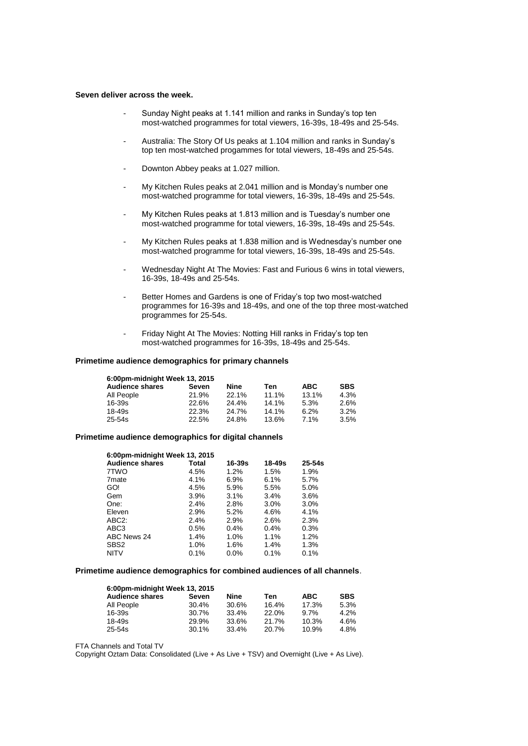#### **Seven deliver across the week.**

- Sunday Night peaks at 1.141 million and ranks in Sunday's top ten most-watched programmes for total viewers, 16-39s, 18-49s and 25-54s.
- Australia: The Story Of Us peaks at 1.104 million and ranks in Sunday's top ten most-watched progammes for total viewers, 18-49s and 25-54s.
- Downton Abbey peaks at 1.027 million.
- My Kitchen Rules peaks at 2.041 million and is Monday's number one most-watched programme for total viewers, 16-39s, 18-49s and 25-54s.
- My Kitchen Rules peaks at 1.813 million and is Tuesday's number one most-watched programme for total viewers, 16-39s, 18-49s and 25-54s.
- My Kitchen Rules peaks at 1.838 million and is Wednesday's number one most-watched programme for total viewers, 16-39s, 18-49s and 25-54s.
- Wednesday Night At The Movies: Fast and Furious 6 wins in total viewers, 16-39s, 18-49s and 25-54s.
- Better Homes and Gardens is one of Friday's top two most-watched programmes for 16-39s and 18-49s, and one of the top three most-watched programmes for 25-54s.
- Friday Night At The Movies: Notting Hill ranks in Friday's top ten most-watched programmes for 16-39s, 18-49s and 25-54s.

#### **Primetime audience demographics for primary channels**

| 6:00pm-midnight Week 13, 2015 |       |       |       |            |            |  |
|-------------------------------|-------|-------|-------|------------|------------|--|
| <b>Audience shares</b>        | Seven | Nine  | Ten   | <b>ABC</b> | <b>SBS</b> |  |
| All People                    | 21.9% | 22.1% | 11.1% | 13.1%      | 4.3%       |  |
| 16-39s                        | 22.6% | 24.4% | 14.1% | 5.3%       | 2.6%       |  |
| 18-49s                        | 22.3% | 24.7% | 14.1% | 6.2%       | 3.2%       |  |
| 25-54s                        | 22.5% | 24.8% | 13.6% | 7.1%       | 3.5%       |  |

#### **Primetime audience demographics for digital channels**

| 6:00pm-midnight Week 13, 2015 |       |            |            |            |  |
|-------------------------------|-------|------------|------------|------------|--|
| <b>Audience shares</b>        | Total | $16 - 39s$ | $18 - 49s$ | $25 - 54s$ |  |
| 7TWO                          | 4.5%  | 1.2%       | 1.5%       | 1.9%       |  |
| 7 <sub>mate</sub>             | 4.1%  | 6.9%       | 6.1%       | 5.7%       |  |
| GO!                           | 4.5%  | 5.9%       | 5.5%       | 5.0%       |  |
| Gem                           | 3.9%  | 3.1%       | 3.4%       | 3.6%       |  |
| One:                          | 2.4%  | 2.8%       | 3.0%       | $3.0\%$    |  |
| Eleven                        | 2.9%  | 5.2%       | 4.6%       | 4.1%       |  |
| ABC <sub>2</sub> :            | 2.4%  | 2.9%       | 2.6%       | 2.3%       |  |
| ABC <sub>3</sub>              | 0.5%  | 0.4%       | $0.4\%$    | 0.3%       |  |
| ABC News 24                   | 1.4%  | 1.0%       | 1.1%       | 1.2%       |  |
| SBS <sub>2</sub>              | 1.0%  | 1.6%       | 1.4%       | 1.3%       |  |
| <b>NITV</b>                   | 0.1%  | $0.0\%$    | 0.1%       | 0.1%       |  |

## **Primetime audience demographics for combined audiences of all channels**.

| 6:00pm-midnight Week 13, 2015 |       |       |       |            |            |  |  |
|-------------------------------|-------|-------|-------|------------|------------|--|--|
| <b>Audience shares</b>        | Seven | Nine  | Ten   | <b>ABC</b> | <b>SBS</b> |  |  |
| All People                    | 30.4% | 30.6% | 16.4% | 17.3%      | 5.3%       |  |  |
| $16 - 39s$                    | 30.7% | 33.4% | 22.0% | 9.7%       | 4.2%       |  |  |
| $18 - 49s$                    | 29.9% | 33.6% | 21.7% | 10.3%      | 4.6%       |  |  |
| 25-54s                        | 30.1% | 33.4% | 20.7% | 10.9%      | 4.8%       |  |  |

FTA Channels and Total TV

Copyright Oztam Data: Consolidated (Live + As Live + TSV) and Overnight (Live + As Live).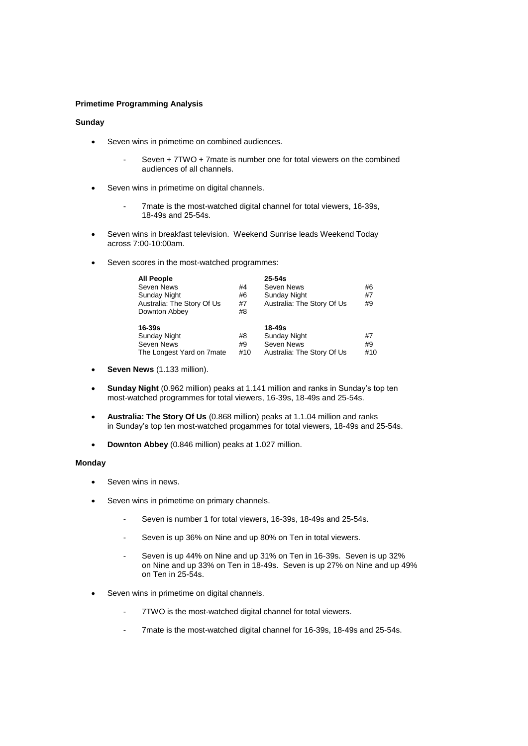## **Primetime Programming Analysis**

## **Sunday**

- Seven wins in primetime on combined audiences.
	- Seven + 7TWO + 7mate is number one for total viewers on the combined audiences of all channels.
- Seven wins in primetime on digital channels.
	- 7mate is the most-watched digital channel for total viewers, 16-39s, 18-49s and 25-54s.
- Seven wins in breakfast television. Weekend Sunrise leads Weekend Today across 7:00-10:00am.
- Seven scores in the most-watched programmes:

| <b>All People</b>          |     | $25 - 54s$                 |     |
|----------------------------|-----|----------------------------|-----|
| Seven News                 | #4  | Seven News                 | #6  |
| Sunday Night               | #6  | <b>Sunday Night</b>        | #7  |
| Australia: The Story Of Us | #7  | Australia: The Story Of Us | #9  |
| Downton Abbey              | #8  |                            |     |
| 16-39s                     |     | 18-49s                     |     |
| <b>Sunday Night</b>        | #8  | <b>Sunday Night</b>        | #7  |
| Seven News                 | #9  | Seven News                 | #9  |
| The Longest Yard on 7mate  | #10 | Australia: The Story Of Us | #10 |

- **Seven News** (1.133 million).
- **Sunday Night** (0.962 million) peaks at 1.141 million and ranks in Sunday's top ten most-watched programmes for total viewers, 16-39s, 18-49s and 25-54s.
- **Australia: The Story Of Us** (0.868 million) peaks at 1.1.04 million and ranks in Sunday's top ten most-watched progammes for total viewers, 18-49s and 25-54s.
- **Downton Abbey** (0.846 million) peaks at 1.027 million.

## **Monday**

- Seven wins in news.
- Seven wins in primetime on primary channels.
	- Seven is number 1 for total viewers, 16-39s, 18-49s and 25-54s.
	- Seven is up 36% on Nine and up 80% on Ten in total viewers.
	- Seven is up 44% on Nine and up 31% on Ten in 16-39s. Seven is up 32% on Nine and up 33% on Ten in 18-49s. Seven is up 27% on Nine and up 49% on Ten in 25-54s.
- Seven wins in primetime on digital channels.
	- 7TWO is the most-watched digital channel for total viewers.
	- 7mate is the most-watched digital channel for 16-39s, 18-49s and 25-54s.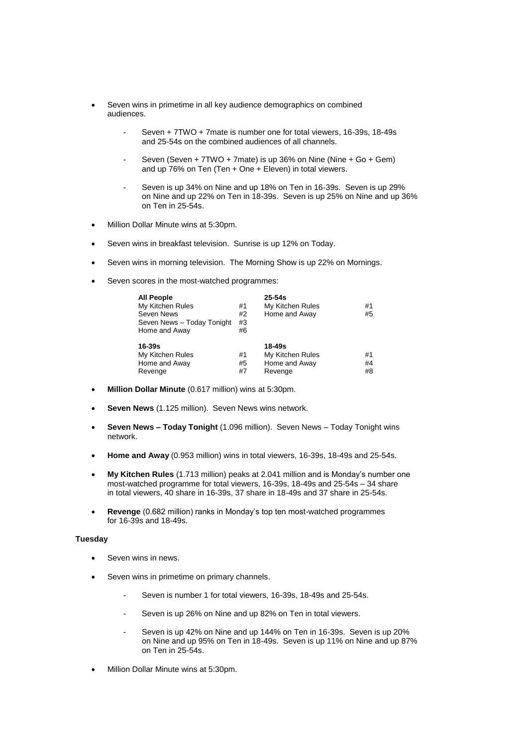- Seven wins in primetime in all key audience demographics on combined audiences.
	- Seven + 7TWO + 7mate is number one for total viewers, 16-39s, 18-49s and 25-54s on the combined audiences of all channels.
	- Seven (Seven + 7TWO + 7mate) is up 36% on Nine (Nine + Go + Gem) and up 76% on Ten (Ten + One + Eleven) in total viewers.
	- Seven is up 34% on Nine and up 18% on Ten in 16-39s. Seven is up 29% on Nine and up 22% on Ten in 18-39s. Seven is up 25% on Nine and up 36% on Ten in 25-54s.
- Million Dollar Minute wins at 5:30pm.
- Seven wins in breakfast television. Sunrise is up 12% on Today.
- Seven wins in morning television. The Morning Show is up 22% on Mornings.
- Seven scores in the most-watched programmes:

| <b>All People</b><br>My Kitchen Rules<br>Seven News<br>Seven News - Today Tonight<br>Home and Away | #1<br>#2<br>#3<br>#6 | $25 - 54s$<br>My Kitchen Rules<br>Home and Away        | #1<br>#5       |
|----------------------------------------------------------------------------------------------------|----------------------|--------------------------------------------------------|----------------|
| 16-39s<br>My Kitchen Rules<br>Home and Away<br>Revenge                                             | #1<br>#5<br>#7       | 18-49s<br>My Kitchen Rules<br>Home and Away<br>Revenge | #1<br>#4<br>#8 |

- **Million Dollar Minute** (0.617 million) wins at 5:30pm.
- **Seven News** (1.125 million). Seven News wins network.
- **Seven News – Today Tonight** (1.096 million). Seven News Today Tonight wins network.
- **Home and Away** (0.953 million) wins in total viewers, 16-39s, 18-49s and 25-54s.
- **My Kitchen Rules** (1.713 million) peaks at 2.041 million and is Monday's number one most-watched programme for total viewers, 16-39s, 18-49s and 25-54s – 34 share in total viewers, 40 share in 16-39s, 37 share in 18-49s and 37 share in 25-54s.
- **Revenge** (0.682 million) ranks in Monday's top ten most-watched programmes for 16-39s and 18-49s.

# **Tuesday**

- Seven wins in news.
- Seven wins in primetime on primary channels.
	- Seven is number 1 for total viewers, 16-39s, 18-49s and 25-54s.
	- Seven is up 26% on Nine and up 82% on Ten in total viewers.
	- Seven is up 42% on Nine and up 144% on Ten in 16-39s. Seven is up 20% on Nine and up 95% on Ten in 18-49s. Seven is up 11% on Nine and up 87% on Ten in 25-54s.
- Million Dollar Minute wins at 5:30pm.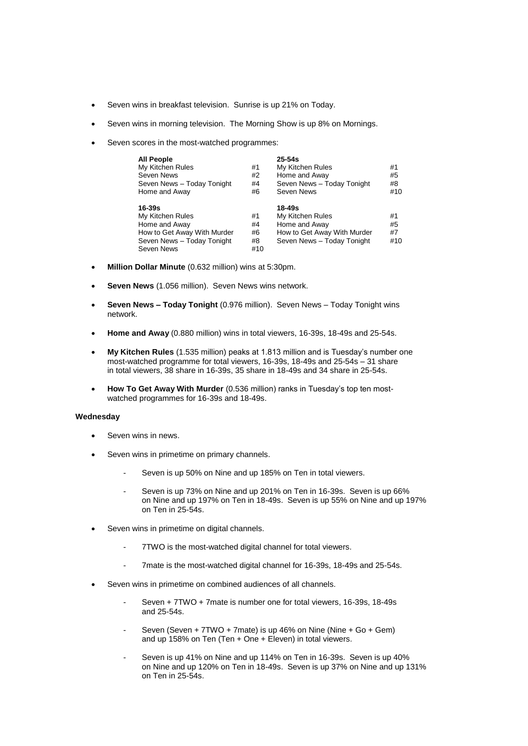- Seven wins in breakfast television. Sunrise is up 21% on Today.
- Seven wins in morning television. The Morning Show is up 8% on Mornings.
- Seven scores in the most-watched programmes:

| All People<br>My Kitchen Rules<br>Seven News<br>Seven News - Today Tonight<br>Home and Away                                | #1<br>#2<br>#4<br>#6        | $25 - 54s$<br>My Kitchen Rules<br>Home and Away<br>Seven News - Today Tonight<br>Seven News              | #1<br>#5<br>#8<br>#10 |
|----------------------------------------------------------------------------------------------------------------------------|-----------------------------|----------------------------------------------------------------------------------------------------------|-----------------------|
| $16 - 39s$<br>My Kitchen Rules<br>Home and Away<br>How to Get Away With Murder<br>Seven News - Today Tonight<br>Seven News | #1<br>#4<br>#6<br>#8<br>#10 | 18-49s<br>My Kitchen Rules<br>Home and Away<br>How to Get Away With Murder<br>Seven News - Today Tonight | #1<br>#5<br>#7<br>#10 |

- **Million Dollar Minute** (0.632 million) wins at 5:30pm.
- **Seven News** (1.056 million). Seven News wins network.
- **Seven News – Today Tonight** (0.976 million). Seven News Today Tonight wins network.
- **Home and Away** (0.880 million) wins in total viewers, 16-39s, 18-49s and 25-54s.
- **My Kitchen Rules** (1.535 million) peaks at 1.813 million and is Tuesday's number one most-watched programme for total viewers, 16-39s, 18-49s and 25-54s – 31 share in total viewers, 38 share in 16-39s, 35 share in 18-49s and 34 share in 25-54s.
- **How To Get Away With Murder** (0.536 million) ranks in Tuesday's top ten mostwatched programmes for 16-39s and 18-49s.

### **Wednesday**

- Seven wins in news.
- Seven wins in primetime on primary channels.
	- Seven is up 50% on Nine and up 185% on Ten in total viewers.
	- Seven is up 73% on Nine and up 201% on Ten in 16-39s. Seven is up 66% on Nine and up 197% on Ten in 18-49s. Seven is up 55% on Nine and up 197% on Ten in 25-54s.
- Seven wins in primetime on digital channels.
	- 7TWO is the most-watched digital channel for total viewers.
	- 7mate is the most-watched digital channel for 16-39s, 18-49s and 25-54s.
- Seven wins in primetime on combined audiences of all channels.
	- Seven + 7TWO + 7mate is number one for total viewers, 16-39s, 18-49s and 25-54s.
	- Seven (Seven + 7TWO + 7mate) is up 46% on Nine (Nine + Go + Gem) and up 158% on Ten (Ten + One + Eleven) in total viewers.
	- Seven is up 41% on Nine and up 114% on Ten in 16-39s. Seven is up 40% on Nine and up 120% on Ten in 18-49s. Seven is up 37% on Nine and up 131% on Ten in 25-54s.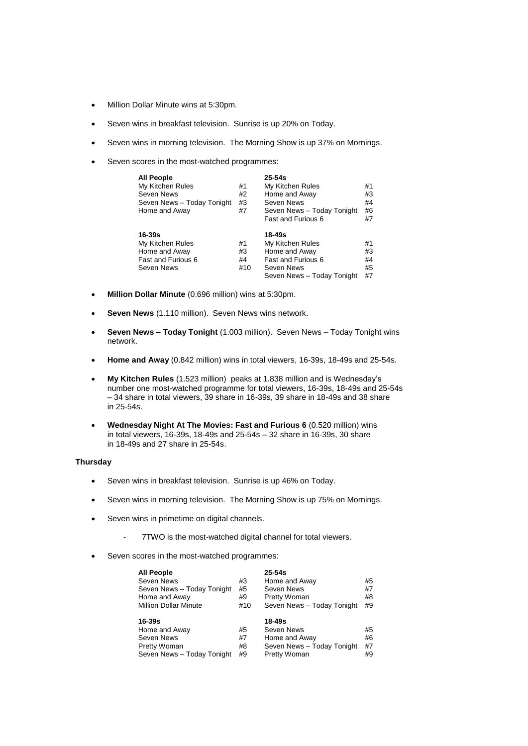- Million Dollar Minute wins at 5:30pm.
- Seven wins in breakfast television. Sunrise is up 20% on Today.
- Seven wins in morning television. The Morning Show is up 37% on Mornings.
- Seven scores in the most-watched programmes:

| <b>All People</b>          |     | $25 - 54s$                 |    |
|----------------------------|-----|----------------------------|----|
| My Kitchen Rules           | #1  | My Kitchen Rules           | #1 |
| Seven News                 | #2  | Home and Away              | #3 |
| Seven News - Today Tonight | #3  | Seven News                 | #4 |
| Home and Away              | #7  | Seven News - Today Tonight | #6 |
|                            |     | <b>Fast and Furious 6</b>  | #7 |
| $16 - 39s$                 |     | 18-49s                     |    |
| My Kitchen Rules           | #1  | My Kitchen Rules           | #1 |
| Home and Away              | #3  | Home and Away              | #3 |
| <b>Fast and Furious 6</b>  | #4  | <b>Fast and Furious 6</b>  | #4 |
| Seven News                 | #10 | Seven News                 | #5 |
|                            |     | Seven News - Today Tonight | #7 |

- **Million Dollar Minute** (0.696 million) wins at 5:30pm.
- **Seven News** (1.110 million). Seven News wins network.
- **Seven News – Today Tonight** (1.003 million). Seven News Today Tonight wins network.
- **Home and Away** (0.842 million) wins in total viewers, 16-39s, 18-49s and 25-54s.
- **My Kitchen Rules** (1.523 million) peaks at 1.838 million and is Wednesday's number one most-watched programme for total viewers, 16-39s, 18-49s and 25-54s – 34 share in total viewers, 39 share in 16-39s, 39 share in 18-49s and 38 share in 25-54s.
- **Wednesday Night At The Movies: Fast and Furious 6** (0.520 million) wins in total viewers, 16-39s, 18-49s and 25-54s – 32 share in 16-39s, 30 share in 18-49s and 27 share in 25-54s.

## **Thursday**

- Seven wins in breakfast television. Sunrise is up 46% on Today.
- Seven wins in morning television. The Morning Show is up 75% on Mornings.
- Seven wins in primetime on digital channels.
	- 7TWO is the most-watched digital channel for total viewers.
- Seven scores in the most-watched programmes:

| <b>All People</b>                          |     | $25-54s$                   |    |
|--------------------------------------------|-----|----------------------------|----|
| Seven News                                 | #3  | Home and Away              | #5 |
| Seven News - Today Tonight                 | #5  | Seven News                 | #7 |
| Home and Away                              | #9  | Pretty Woman               | #8 |
| <b>Million Dollar Minute</b>               | #10 | Seven News - Today Tonight | #9 |
|                                            |     |                            |    |
| 16-39s<br>Home and Away                    | #5  | 18-49s<br>Seven News       | #5 |
| Seven News                                 | #7  | Home and Away              | #6 |
| Pretty Woman<br>Seven News - Today Tonight | #8  | Seven News - Today Tonight | #7 |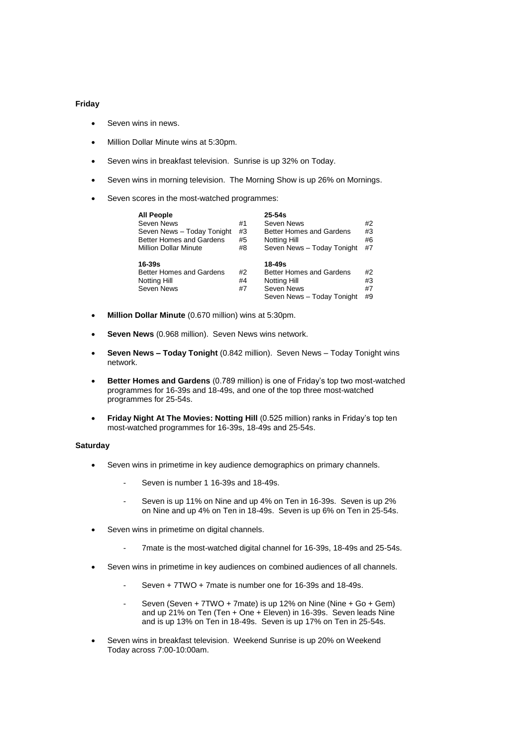#### **Friday**

- Seven wins in news.
- Million Dollar Minute wins at 5:30pm.
- Seven wins in breakfast television. Sunrise is up 32% on Today.
- Seven wins in morning television. The Morning Show is up 26% on Mornings.
- Seven scores in the most-watched programmes:

| <b>All People</b>               |    | $25 - 54s$                      |    |
|---------------------------------|----|---------------------------------|----|
| Seven News                      | #1 | Seven News                      | #2 |
| Seven News - Today Tonight      | #3 | <b>Better Homes and Gardens</b> | #3 |
| <b>Better Homes and Gardens</b> | #5 | Notting Hill                    | #6 |
| <b>Million Dollar Minute</b>    | #8 | Seven News - Today Tonight      | #7 |
| 16-39s                          |    | 18-49s                          |    |
| <b>Better Homes and Gardens</b> | #2 | Better Homes and Gardens        | #2 |
| Notting Hill                    | #4 | Notting Hill                    | #3 |
| Seven News                      | #7 | Seven News                      | #7 |
|                                 |    | Seven News - Today Tonight      | #9 |

- **Million Dollar Minute** (0.670 million) wins at 5:30pm.
- **Seven News** (0.968 million). Seven News wins network.
- **Seven News – Today Tonight** (0.842 million). Seven News Today Tonight wins network.
- **Better Homes and Gardens** (0.789 million) is one of Friday's top two most-watched programmes for 16-39s and 18-49s, and one of the top three most-watched programmes for 25-54s.
- **Friday Night At The Movies: Notting Hill** (0.525 million) ranks in Friday's top ten most-watched programmes for 16-39s, 18-49s and 25-54s.

### **Saturday**

- Seven wins in primetime in key audience demographics on primary channels.
	- Seven is number 1 16-39s and 18-49s.
	- Seven is up 11% on Nine and up 4% on Ten in 16-39s. Seven is up 2% on Nine and up 4% on Ten in 18-49s. Seven is up 6% on Ten in 25-54s.
- Seven wins in primetime on digital channels.
	- 7mate is the most-watched digital channel for 16-39s, 18-49s and 25-54s.
- Seven wins in primetime in key audiences on combined audiences of all channels.
	- Seven + 7TWO + 7mate is number one for 16-39s and 18-49s.
	- Seven (Seven + 7TWO + 7mate) is up 12% on Nine (Nine + Go + Gem) and up 21% on Ten (Ten + One + Eleven) in 16-39s. Seven leads Nine and is up 13% on Ten in 18-49s. Seven is up 17% on Ten in 25-54s.
- Seven wins in breakfast television. Weekend Sunrise is up 20% on Weekend Today across 7:00-10:00am.